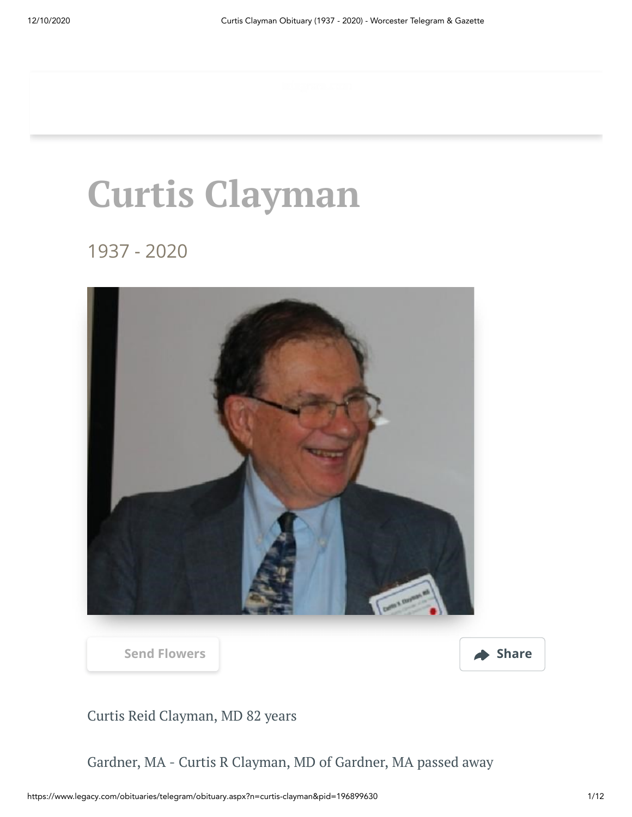# **Curtis Clayman**

1937 - 2020



**[Send Flowers](https://sympathy.legacy.com/en-us/funeral-flowers/name/curtis-clayman-funeral-flowers/p196899630/?affiliateId=1732&pm=205) Share** 



Curtis Reid Clayman, MD 82 years

Gardner, MA - Curtis R Clayman, MD of Gardner, MA passed away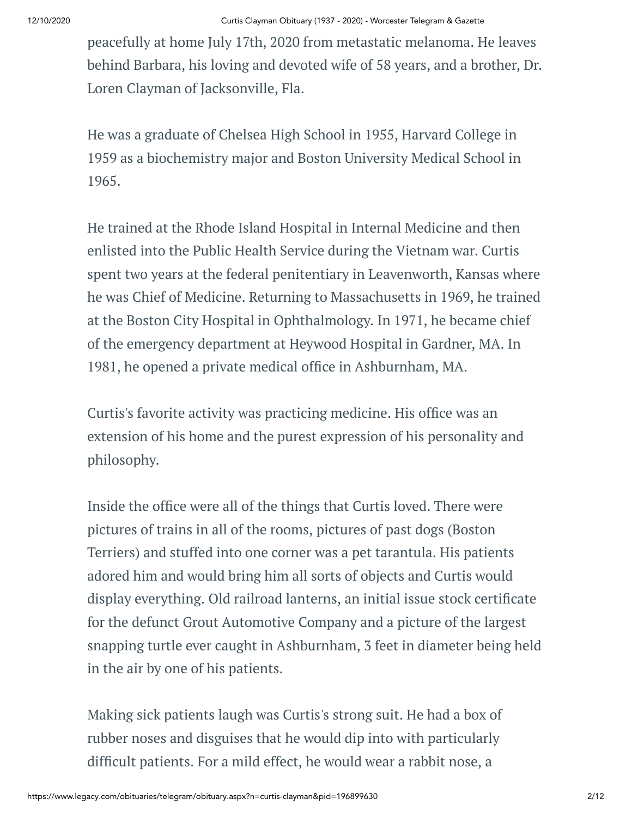peacefully at home July 17th, 2020 from metastatic melanoma. He leaves behind Barbara, his loving and devoted wife of 58 years, and a brother, Dr. Loren Clayman of Jacksonville, Fla.

He was a graduate of Chelsea High School in 1955, Harvard College in 1959 as a biochemistry major and Boston University Medical School in 1965.

He trained at the Rhode Island Hospital in Internal Medicine and then enlisted into the Public Health Service during the Vietnam war. Curtis spent two years at the federal penitentiary in Leavenworth, Kansas where he was Chief of Medicine. Returning to Massachusetts in 1969, he trained at the Boston City Hospital in Ophthalmology. In 1971, he became chief of the emergency department at Heywood Hospital in Gardner, MA. In 1981, he opened a private medical office in Ashburnham, MA.

Curtis's favorite activity was practicing medicine. His office was an extension of his home and the purest expression of his personality and philosophy.

Inside the office were all of the things that Curtis loved. There were pictures of trains in all of the rooms, pictures of past dogs (Boston Terriers) and stuffed into one corner was a pet tarantula. His patients adored him and would bring him all sorts of objects and Curtis would display everything. Old railroad lanterns, an initial issue stock certificate for the defunct Grout Automotive Company and a picture of the largest snapping turtle ever caught in Ashburnham, 3 feet in diameter being held in the air by one of his patients.

Making sick patients laugh was Curtis's strong suit. He had a box of rubber noses and disguises that he would dip into with particularly difficult patients. For a mild effect, he would wear a rabbit nose, a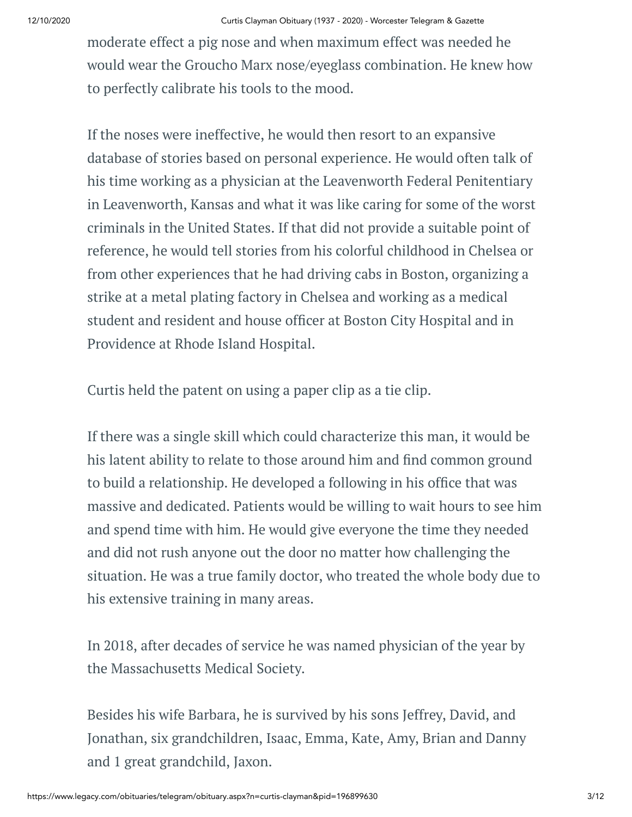moderate effect a pig nose and when maximum effect was needed he would wear the Groucho Marx nose/eyeglass combination. He knew how to perfectly calibrate his tools to the mood.

If the noses were ineffective, he would then resort to an expansive database of stories based on personal experience. He would often talk of his time working as a physician at the Leavenworth Federal Penitentiary in Leavenworth, Kansas and what it was like caring for some of the worst criminals in the United States. If that did not provide a suitable point of reference, he would tell stories from his colorful childhood in Chelsea or from other experiences that he had driving cabs in Boston, organizing a strike at a metal plating factory in Chelsea and working as a medical student and resident and house officer at Boston City Hospital and in Providence at Rhode Island Hospital.

Curtis held the patent on using a paper clip as a tie clip.

If there was a single skill which could characterize this man, it would be his latent ability to relate to those around him and find common ground to build a relationship. He developed a following in his office that was massive and dedicated. Patients would be willing to wait hours to see him and spend time with him. He would give everyone the time they needed and did not rush anyone out the door no matter how challenging the situation. He was a true family doctor, who treated the whole body due to his extensive training in many areas.

In 2018, after decades of service he was named physician of the year by the Massachusetts Medical Society.

Besides his wife Barbara, he is survived by his sons Jeffrey, David, and Jonathan, six grandchildren, Isaac, Emma, Kate, Amy, Brian and Danny and 1 great grandchild, Jaxon.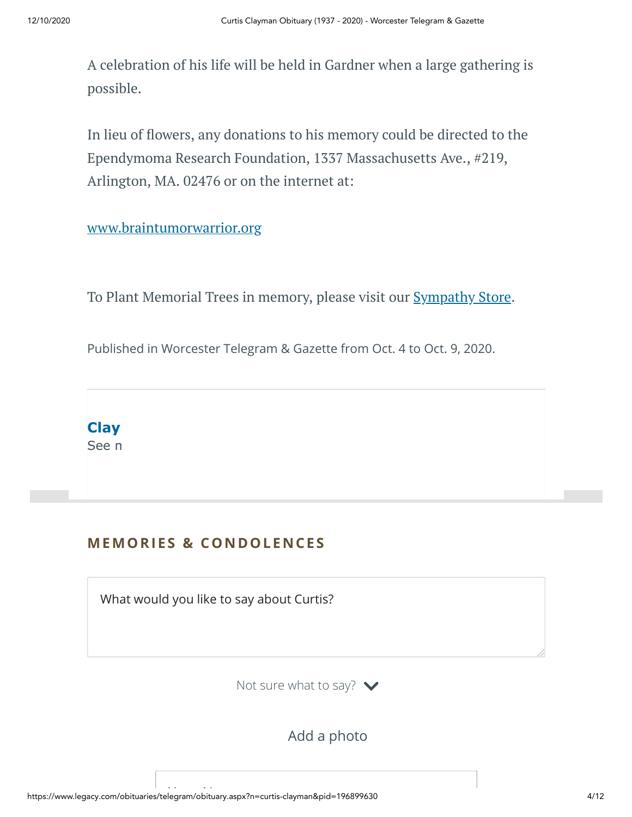A celebration of his life will be held in Gardner when a large gathering is possible.

In lieu of flowers, any donations to his memory could be directed to the Ependymoma Research Foundation, 1337 Massachusetts Ave., #219, Arlington, MA. 02476 or on the internet at:

#### [www.braintumorwarrior.org](http://www.braintumorwarrior.org/)

To Plant Memorial Trees in memory, please visit our **[Sympathy](https://sympathy.legacy.com/en-us/funeral-flowers/name/curtis-clayman-funeral-flowers/p196899630/?affiliateId=1732&pm=240) Store**.

Published in Worcester Telegram & Gazette from Oct. 4 to Oct. 9, 2020.



# **MEMORIES & CO N DOLE N CES**

What would you like to say about Curtis?

Not sure what to say?  $\blacktriangleright$ 

Add a photo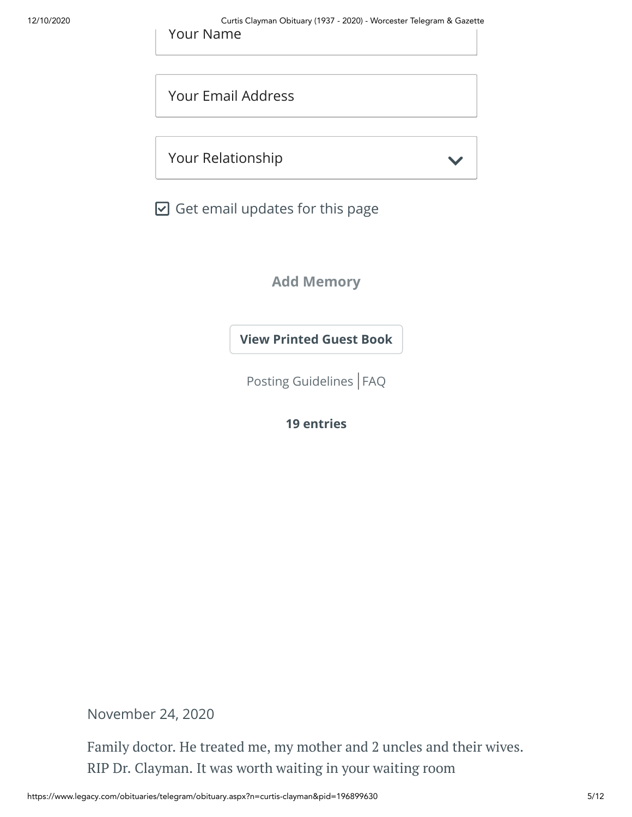Your Email Address

Your Relationship

 $\boxdot$  Get email updates for this page

**Add Memory**

**[View Printed Guest Book](https://sympathy.legacy.com/en-us/printed-obituary-guestbook/gallery/?type=obituary&p=196899630&pn=curtis-clayman&affiliateId=1732&pm=69)**

[Posting Guidelines](https://www.legacy.com/guestbooks/posting-guidelines.aspx?n=Curtis-Clayman&pid=196899630) | [FAQ](https://www.legacy.com/guestbooks/faq.aspx?n=Curtis-Clayman&pid=196899630)

**19 entries**

November 24, 2020

Family doctor. He treated me, my mother and 2 uncles and their wives. RIP Dr. Clayman. It was worth waiting in your waiting room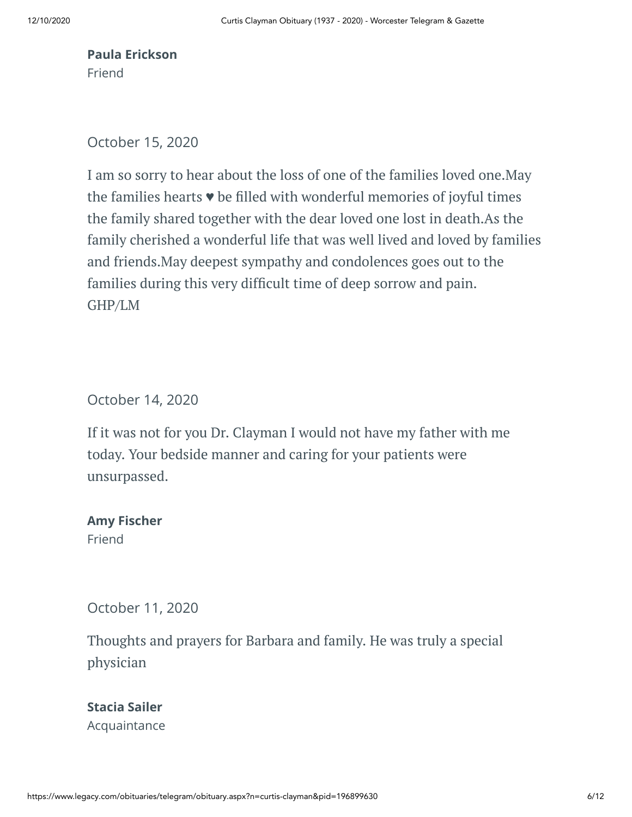## **Paula Erickson** Friend

October 15, 2020

I am so sorry to hear about the loss of one of the families loved one.May the families hearts  $\bullet$  be filled with wonderful memories of joyful times the family shared together with the dear loved one lost in death.As the family cherished a wonderful life that was well lived and loved by families and friends.May deepest sympathy and condolences goes out to the families during this very difficult time of deep sorrow and pain. GHP/LM

October 14, 2020

If it was not for you Dr. Clayman I would not have my father with me today. Your bedside manner and caring for your patients were unsurpassed.

# **Amy Fischer**

Friend

October 11, 2020

Thoughts and prayers for Barbara and family. He was truly a special physician

**Stacia Sailer** Acquaintance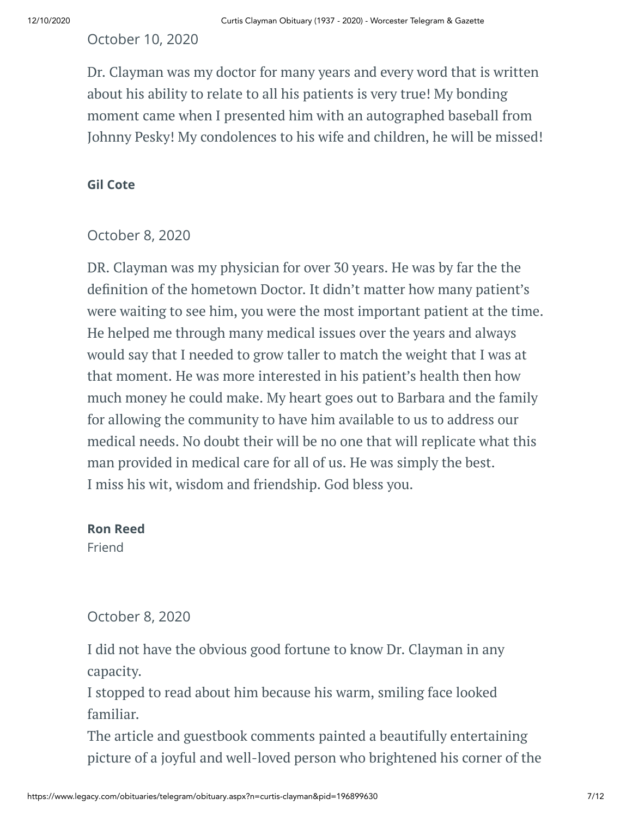October 10, 2020

Dr. Clayman was my doctor for many years and every word that is written about his ability to relate to all his patients is very true! My bonding moment came when I presented him with an autographed baseball from Johnny Pesky! My condolences to his wife and children, he will be missed!

#### **Gil Cote**

#### October 8, 2020

DR. Clayman was my physician for over 30 years. He was by far the the definition of the hometown Doctor. It didn't matter how many patient's were waiting to see him, you were the most important patient at the time. He helped me through many medical issues over the years and always would say that I needed to grow taller to match the weight that I was at that moment. He was more interested in his patient's health then how much money he could make. My heart goes out to Barbara and the family for allowing the community to have him available to us to address our medical needs. No doubt their will be no one that will replicate what this man provided in medical care for all of us. He was simply the best. I miss his wit, wisdom and friendship. God bless you.

#### **Ron Reed**

Friend

# October 8, 2020

I did not have the obvious good fortune to know Dr. Clayman in any capacity.

I stopped to read about him because his warm, smiling face looked familiar.

The article and guestbook comments painted a beautifully entertaining picture of a joyful and well-loved person who brightened his corner of the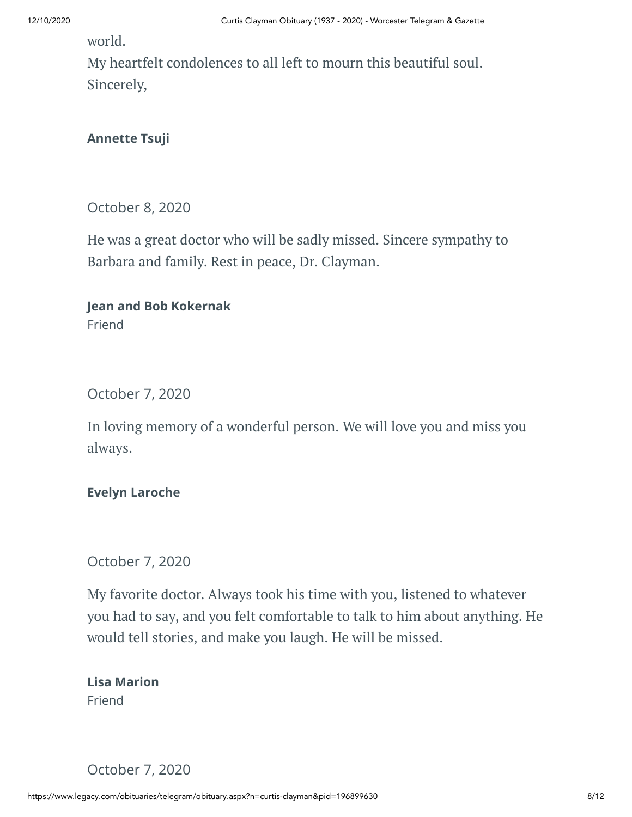world.

My heartfelt condolences to all left to mourn this beautiful soul. Sincerely,

# **Annette Tsuji**

October 8, 2020

He was a great doctor who will be sadly missed. Sincere sympathy to Barbara and family. Rest in peace, Dr. Clayman.

**Jean and Bob Kokernak** Friend

October 7, 2020

In loving memory of a wonderful person. We will love you and miss you always.

#### **Evelyn Laroche**

October 7, 2020

My favorite doctor. Always took his time with you, listened to whatever you had to say, and you felt comfortable to talk to him about anything. He would tell stories, and make you laugh. He will be missed.

**Lisa Marion** Friend

October 7, 2020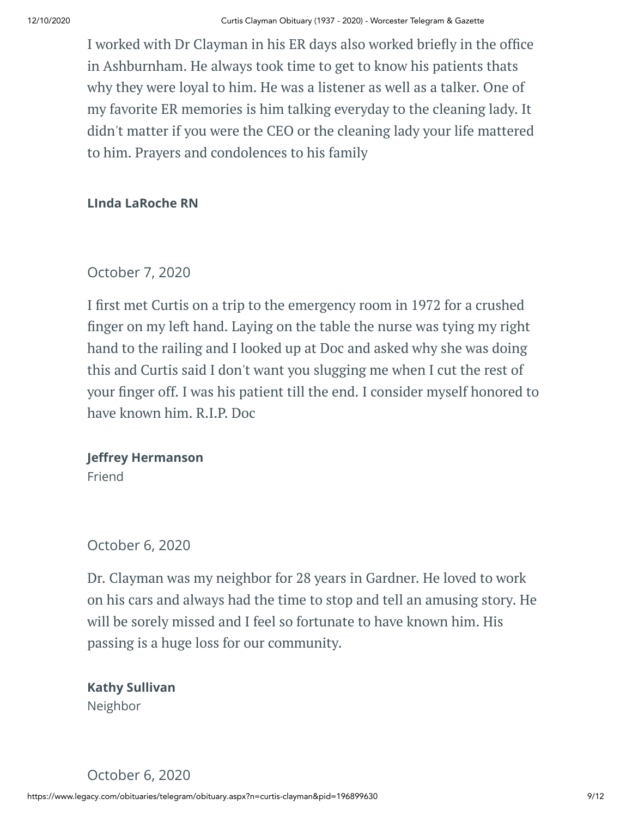I worked with Dr Clayman in his ER days also worked briefly in the office in Ashburnham. He always took time to get to know his patients thats why they were loyal to him. He was a listener as well as a talker. One of my favorite ER memories is him talking everyday to the cleaning lady. It didn't matter if you were the CEO or the cleaning lady your life mattered to him. Prayers and condolences to his family

### **LInda LaRoche RN**

# October 7, 2020

I first met Curtis on a trip to the emergency room in 1972 for a crushed nger on my left hand. Laying on the table the nurse was tying my right hand to the railing and I looked up at Doc and asked why she was doing this and Curtis said I don't want you slugging me when I cut the rest of your finger off. I was his patient till the end. I consider myself honored to have known him. R.I.P. Doc

# **Jeffrey Hermanson**

Friend

# October 6, 2020

Dr. Clayman was my neighbor for 28 years in Gardner. He loved to work on his cars and always had the time to stop and tell an amusing story. He will be sorely missed and I feel so fortunate to have known him. His passing is a huge loss for our community.

**Kathy Sullivan** Neighbor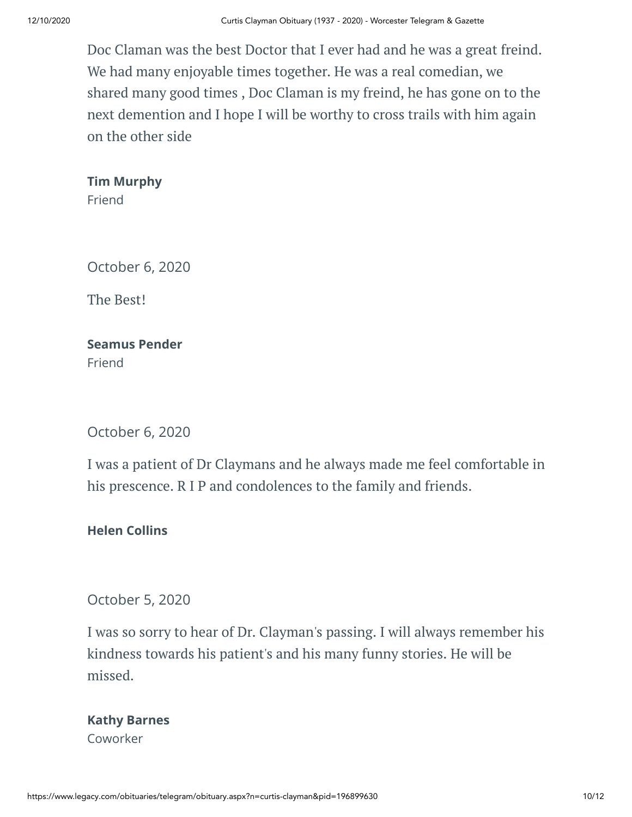Doc Claman was the best Doctor that I ever had and he was a great freind. We had many enjoyable times together. He was a real comedian, we shared many good times , Doc Claman is my freind, he has gone on to the next demention and I hope I will be worthy to cross trails with him again on the other side

**Tim Murphy**

Friend

October 6, 2020

The Best!

**Seamus Pender** Friend

October 6, 2020

I was a patient of Dr Claymans and he always made me feel comfortable in his prescence. R I P and condolences to the family and friends.

**Helen Collins**

October 5, 2020

I was so sorry to hear of Dr. Clayman's passing. I will always remember his kindness towards his patient's and his many funny stories. He will be missed.

### **Kathy Barnes** Coworker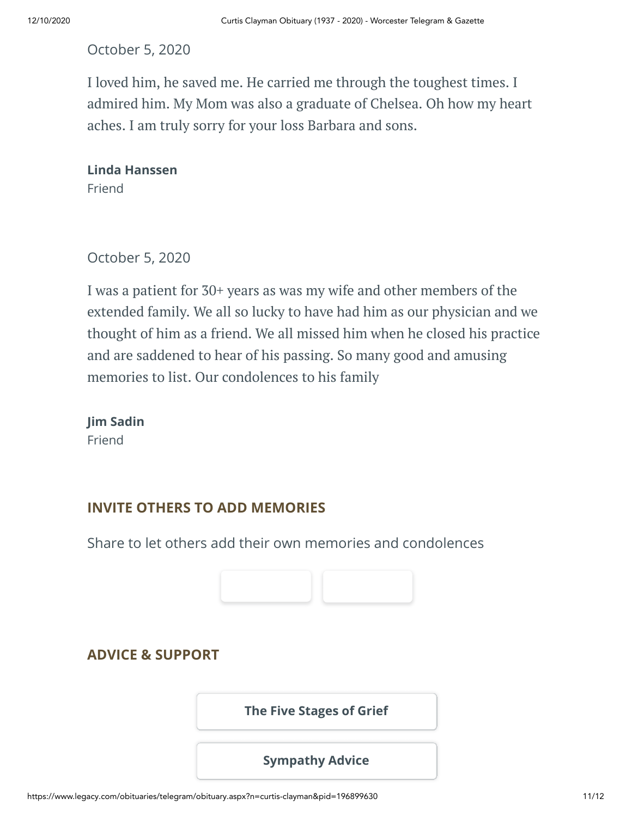# October 5, 2020

I loved him, he saved me. He carried me through the toughest times. I admired him. My Mom was also a graduate of Chelsea. Oh how my heart aches. I am truly sorry for your loss Barbara and sons.

**Linda Hanssen** Friend

October 5, 2020

I was a patient for 30+ years as was my wife and other members of the extended family. We all so lucky to have had him as our physician and we thought of him as a friend. We all missed him when he closed his practice and are saddened to hear of his passing. So many good and amusing memories to list. Our condolences to his family

**Jim Sadin** Friend

#### **INVITE OTHERS TO ADD MEMORIES**

Share to let others add their own memories and condolences



# **ADVICE & SUPPORT**

**[The Five Stages of Grief](https://www.legacy.com/news/advice-and-support/article/the-five-stages-of-grief)**

**[Sympathy Advice](https://www.legacy.com/news/advice-and-support/article/sympathy-and-condolence-advice)**